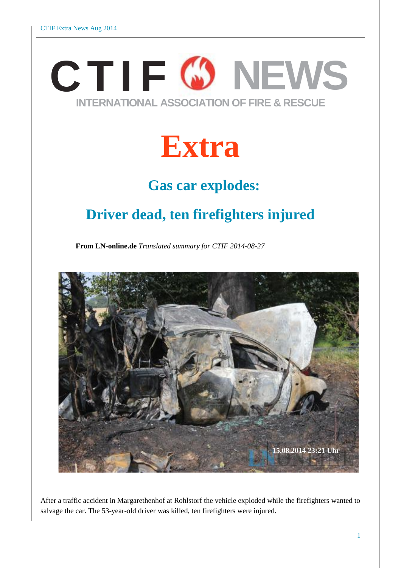# **CTI F NEWS INTERNATIONAL ASSOCIATION OF FIRE & RESCUE**

# **Extra**

### **Gas car explodes:**

### **Driver dead, ten firefighters injured**

**From LN-online.de** *Translated summary for CTIF 2014-08-27*



After a traffic accident in Margarethenhof at Rohlstorf the vehicle exploded while the firefighters wanted to salvage the car. The 53-year-old driver was killed, ten firefighters were injured.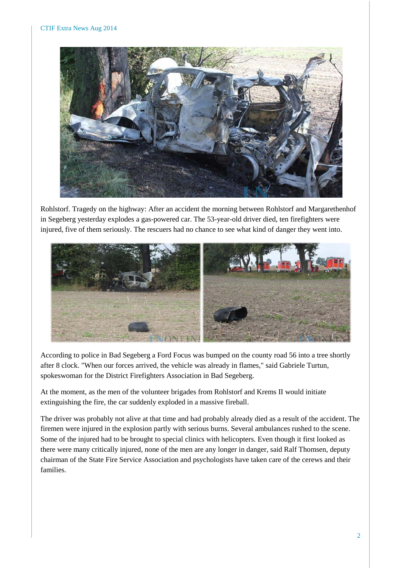

Rohlstorf. Tragedy on the highway: After an accident the morning between Rohlstorf and Margarethenhof in Segeberg yesterday explodes a gas-powered car. The 53-year-old driver died, ten firefighters were injured, five of them seriously. The rescuers had no chance to see what kind of danger they went into.



According to police in Bad Segeberg a Ford Focus was bumped on the county road 56 into a tree shortly after 8 clock. "When our forces arrived, the vehicle was already in flames," said Gabriele Turtun, spokeswoman for the District Firefighters Association in Bad Segeberg.

At the moment, as the men of the volunteer brigades from Rohlstorf and Krems II would initiate extinguishing the fire, the car suddenly exploded in a massive fireball.

The driver was probably not alive at that time and had probably already died as a result of the accident. The firemen were injured in the explosion partly with serious burns. Several ambulances rushed to the scene. Some of the injured had to be brought to special clinics with helicopters. Even though it first looked as there were many critically injured, none of the men are any longer in danger, said Ralf Thomsen, deputy chairman of the State Fire Service Association and psychologists have taken care of the cerews and their families.